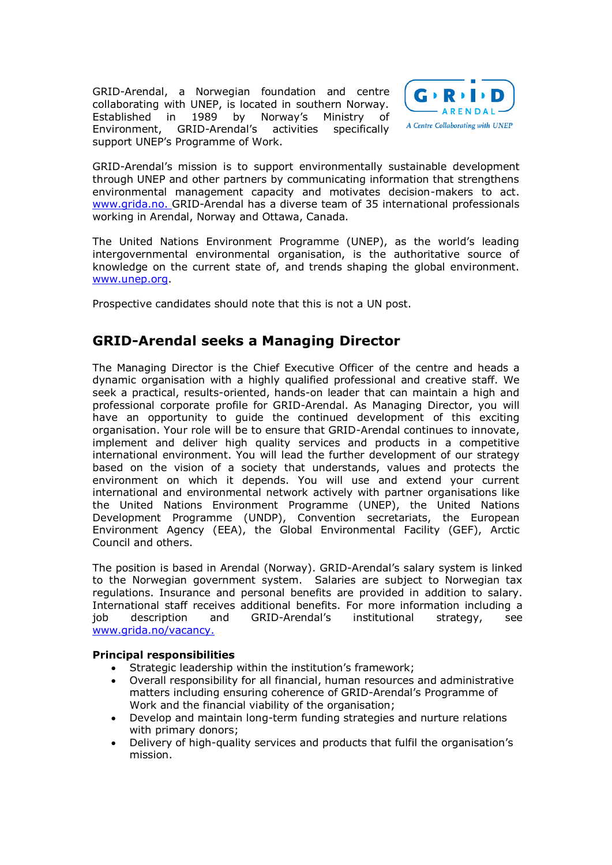GRID-Arendal, a Norwegian foundation and centre collaborating with UNEP, is located in southern Norway. Established in 1989 by Norway's Ministry of Environment, GRID-Arendal's activities specifically support UNEP's Programme of Work.



GRID-Arendal's mission is to support environmentally sustainable development through UNEP and other partners by communicating information that strengthens environmental management capacity and motivates decision-makers to act. [www.grida.no.](http://www.grida.no/) GRID-Arendal has a diverse team of 35 international professionals working in Arendal, Norway and Ottawa, Canada.

The United Nations Environment Programme (UNEP), as the world's leading intergovernmental environmental organisation, is the authoritative source of knowledge on the current state of, and trends shaping the global environment. [www.unep.org.](http://www.unep.org/)

Prospective candidates should note that this is not a UN post.

## **GRID-Arendal seeks a Managing Director**

The Managing Director is the Chief Executive Officer of the centre and heads a dynamic organisation with a highly qualified professional and creative staff. We seek a practical, results-oriented, hands-on leader that can maintain a high and professional corporate profile for GRID-Arendal. As Managing Director, you will have an opportunity to guide the continued development of this exciting organisation. Your role will be to ensure that GRID-Arendal continues to innovate, implement and deliver high quality services and products in a competitive international environment. You will lead the further development of our strategy based on the vision of a society that understands, values and protects the environment on which it depends. You will use and extend your current international and environmental network actively with partner organisations like the United Nations Environment Programme (UNEP), the United Nations Development Programme (UNDP), Convention secretariats, the European Environment Agency (EEA), the Global Environmental Facility (GEF), Arctic Council and others.

The position is based in Arendal (Norway). GRID-Arendal's salary system is linked to the Norwegian government system. Salaries are subject to Norwegian tax regulations. Insurance and personal benefits are provided in addition to salary. International staff receives additional benefits. For more information including a job description and GRID-Arendal's institutional strategy, see [www.grida.no/vacancy.](http://www.grida.no/vacancy)

## **Principal responsibilities**

- Strategic leadership within the institution's framework;
- Overall responsibility for all financial, human resources and administrative matters including ensuring coherence of GRID-Arendal's Programme of Work and the financial viability of the organisation;
- Develop and maintain long-term funding strategies and nurture relations with primary donors;
- Delivery of high-quality services and products that fulfil the organisation's mission.